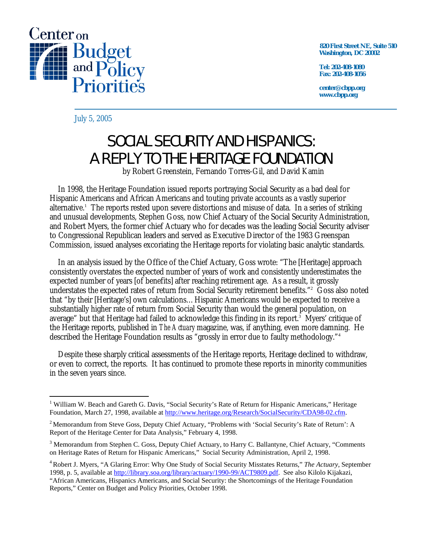

 **820 First Street NE, Suite 510 Washington, DC 20002** 

**Tel: 202-408-1080 Fax: 202-408-1056** 

**center@cbpp.org www.cbpp.org** 

July 5, 2005

 $\overline{a}$ 

## SOCIAL SECURITY AND HISPANICS: A REPLY TO THE HERITAGE FOUNDATION

by Robert Greenstein, Fernando Torres-Gil, and David Kamin

In 1998, the Heritage Foundation issued reports portraying Social Security as a bad deal for Hispanic Americans and African Americans and touting private accounts as a vastly superior alternative.<sup>1</sup> The reports rested upon severe distortions and misuse of data. In a series of striking and unusual developments, Stephen Goss, now Chief Actuary of the Social Security Administration, and Robert Myers, the former chief Actuary who for decades was the leading Social Security adviser to Congressional Republican leaders and served as Executive Director of the 1983 Greenspan Commission, issued analyses excoriating the Heritage reports for violating basic analytic standards.

In an analysis issued by the Office of the Chief Actuary, Goss wrote: "The [Heritage] approach consistently overstates the expected number of years of work and consistently underestimates the expected number of years [of benefits] after reaching retirement age. As a result, it grossly understates the expected rates of return from Social Security retirement benefits."<sup>2</sup> Goss also noted that "by their [Heritage's] own calculations…Hispanic Americans would be expected to receive a substantially higher rate of return from Social Security than would the general population, on average" but that Heritage had failed to acknowledge this finding in its report. $^3$  Myers' critique of the Heritage reports, published in *The Actuary* magazine, was, if anything, even more damning. He described the Heritage Foundation results as "grossly in error due to faulty methodology."<sup>4</sup>

Despite these sharply critical assessments of the Heritage reports, Heritage declined to withdraw, or even to correct, the reports. It has continued to promote these reports in minority communities in the seven years since.

<sup>&</sup>lt;sup>1</sup> William W. Beach and Gareth G. Davis, "Social Security's Rate of Return for Hispanic Americans," Heritage Foundation, March 27, 1998, available at [http://www.heritage.org/Research/SocialSecurity/CDA98-02.cfm.](http://www.heritage.org/Research/SocialSecurity/CDA98-02.cfm) 

<sup>&</sup>lt;sup>2</sup> Memorandum from Steve Goss, Deputy Chief Actuary, "Problems with 'Social Security's Rate of Return': A Report of the Heritage Center for Data Analysis," February 4, 1998.

<sup>&</sup>lt;sup>3</sup> Memorandum from Stephen C. Goss, Deputy Chief Actuary, to Harry C. Ballantyne, Chief Actuary, "Comments on Heritage Rates of Return for Hispanic Americans," Social Security Administration, April 2, 1998.

<sup>4</sup> Robert J. Myers, "A Glaring Error: Why One Study of Social Security Misstates Returns," *The Actuary*, September 1998, p. 5, available at [http://library.soa.org/library/actuary/1990-99/ACT9809.pdf.](http://library.soa.org/library/actuary/1990-99/ACT9809.pdf) See also Kilolo Kijakazi, "African Americans, Hispanics Americans, and Social Security: the Shortcomings of the Heritage Foundation Reports," Center on Budget and Policy Priorities, October 1998.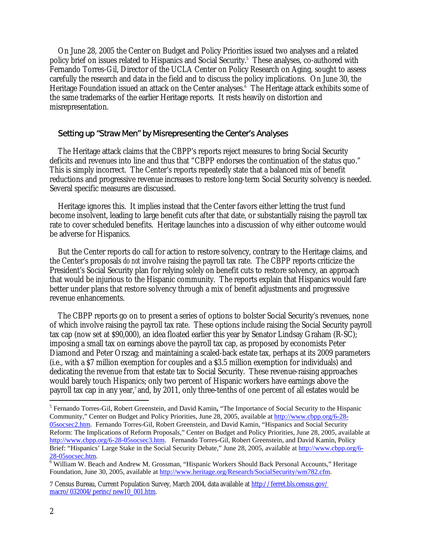On June 28, 2005 the Center on Budget and Policy Priorities issued two analyses and a related policy brief on issues related to Hispanics and Social Security.<sup>5</sup> These analyses, co-authored with Fernando Torres-Gil, Director of the UCLA Center on Policy Research on Aging, sought to assess carefully the research and data in the field and to discuss the policy implications. On June 30, the Heritage Foundation issued an attack on the Center analyses.<sup>6</sup> The Heritage attack exhibits some of the same trademarks of the earlier Heritage reports. It rests heavily on distortion and misrepresentation.

## Setting up "Straw Men" by Misrepresenting the Center's Analyses

The Heritage attack claims that the CBPP's reports reject measures to bring Social Security deficits and revenues into line and thus that "CBPP endorses the continuation of the status quo." This is simply incorrect. The Center's reports repeatedly state that a balanced mix of benefit reductions and progressive revenue increases to restore long-term Social Security solvency is needed. Several specific measures are discussed.

Heritage ignores this. It implies instead that the Center favors either letting the trust fund become insolvent, leading to large benefit cuts after that date, or substantially raising the payroll tax rate to cover scheduled benefits. Heritage launches into a discussion of why either outcome would be adverse for Hispanics.

But the Center reports do call for action to restore solvency, contrary to the Heritage claims, and the Center's proposals *do not* involve raising the payroll tax rate. The CBPP reports criticize the President's Social Security plan for relying solely on benefit cuts to restore solvency, an approach that would be injurious to the Hispanic community. The reports explain that Hispanics would fare better under plans that restore solvency through a mix of benefit adjustments and progressive revenue enhancements.

The CBPP reports go on to present a series of options to bolster Social Security's revenues, none of which involve raising the payroll tax rate. These options include raising the Social Security payroll tax cap (now set at \$90,000), an idea floated earlier this year by Senator Lindsay Graham (R-SC); imposing a small tax on earnings above the payroll tax cap, as proposed by economists Peter Diamond and Peter Orszag; and maintaining a scaled-back estate tax, perhaps at its 2009 parameters (i.e., with a \$7 million exemption for couples and a \$3.5 million exemption for individuals) and dedicating the revenue from that estate tax to Social Security. These revenue-raising approaches would barely touch Hispanics; only two percent of Hispanic workers have earnings above the payroll tax cap in any year,<sup>7</sup> and, by 2011, only three-tenths of one percent of all estates would be

 $\overline{a}$ 

<sup>5</sup> Fernando Torres-Gil, Robert Greenstein, and David Kamin**,** "The Importance of Social Security to the Hispanic Community," Center on Budget and Policy Priorities, June 28, 2005, available at<http://www.cbpp.org/6-28-> 05socsec2.htm. Fernando Torres-Gil, Robert Greenstein, and David Kamin, "Hispanics and Social Security Reform: The Implications of Reform Proposals," Center on Budget and Policy Priorities, June 28, 2005, available at [http://www.cbpp.org/6-28-05socsec3.htm.](http://www.cbpp.org/6-28-05socsec3.htm) Fernando Torres-Gil, Robert Greenstein, and David Kamin, Policy Brief: "Hispanics' Large Stake in the Social Security Debate," June 28, 2005, available at<http://www.cbpp.org/6-> 28-05socsec.htm. 6

<sup>&</sup>lt;sup>6</sup> William W. Beach and Andrew M. Grossman, "Hispanic Workers Should Back Personal Accounts," Heritage Foundation, June 30, 2005, available at [http://www.heritage.org/Research/SocialSecurity/wm782.cfm.](http://www.heritage.org/Research/SocialSecurity/wm782.cfm) 

<sup>7</sup> Census Bureau, Current Population Survey, March 2004, data available at <http://ferret.bls.census.gov/> macro/032004/perinc/new10\_001.htm.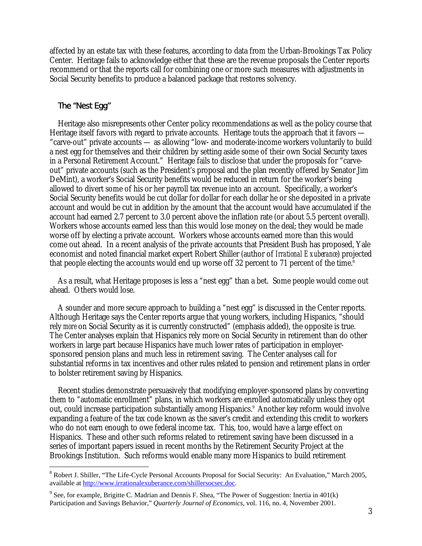affected by an estate tax with these features, according to data from the Urban-Brookings Tax Policy Center. Heritage fails to acknowledge either that these are the revenue proposals the Center reports recommend or that the reports call for combining one or more such measures with adjustments in Social Security benefits to produce a balanced package that restores solvency.

## The "Nest Egg"

 $\overline{a}$ 

Heritage also misrepresents other Center policy recommendations as well as the policy course that Heritage itself favors with regard to private accounts. Heritage touts the approach that it favors — "carve-out" private accounts — as allowing "low- and moderate-income workers voluntarily to build a nest egg for themselves and their children by setting aside some of their own Social Security taxes in a Personal Retirement Account." Heritage fails to disclose that under the proposals for "carveout" private accounts (such as the President's proposal and the plan recently offered by Senator Jim DeMint), a worker's Social Security benefits would be reduced in return for the worker's being allowed to divert some of his or her payroll tax revenue into an account. Specifically, a worker's Social Security benefits would be cut dollar for dollar for each dollar he or she deposited in a private account and would be cut in addition by the amount that the account would have accumulated if the account had earned 2.7 percent to 3.0 percent above the inflation rate (or about 5.5 percent overall). Workers whose accounts earned less than this would lose money on the deal; they would be made worse off by electing a private account. Workers whose accounts earned more than this would come out ahead. In a recent analysis of the private accounts that President Bush has proposed, Yale economist and noted financial market expert Robert Shiller (author of *Irrational Exuberance*) projected that people electing the accounts would end up worse off 32 percent to 71 percent of the time.<sup>8</sup>

As a result, what Heritage proposes is less a "nest egg" than a bet. Some people would come out ahead. Others would lose.

A sounder and more secure approach to building a "nest egg" is discussed in the Center reports. Although Heritage says the Center reports argue that young workers, including Hispanics, "should rely *more* on Social Security as it is currently constructed" (emphasis added), the opposite is true. The Center analyses explain that Hispanics rely more on Social Security in retirement than do other workers in large part because Hispanics have much lower rates of participation in employersponsored pension plans and much less in retirement saving. The Center analyses call for substantial reforms in tax incentives and other rules related to pension and retirement plans in order to bolster retirement saving by Hispanics.

Recent studies demonstrate persuasively that modifying employer-sponsored plans by converting them to "automatic enrollment" plans, in which workers are enrolled automatically unless they opt out, could increase participation substantially among Hispanics.<sup>9</sup> Another key reform would involve expanding a feature of the tax code known as the saver's credit and extending this credit to workers who do not earn enough to owe federal income tax. This, too, would have a large effect on Hispanics. These and other such reforms related to retirement saving have been discussed in a series of important papers issued in recent months by the Retirement Security Project at the Brookings Institution. Such reforms would enable many more Hispanics to build retirement

<sup>&</sup>lt;sup>8</sup> Robert J. Shiller, "The Life-Cycle Personal Accounts Proposal for Social Security: An Evaluation," March 2005, available at [http://www.irrationalexuberance.com/shillersocsec.doc.](http://www.irrationalexuberance.com/shillersocsec.doc) 

<sup>&</sup>lt;sup>9</sup> See, for example, Brigitte C. Madrian and Dennis F. Shea, "The Power of Suggestion: Inertia in  $401(k)$ Participation and Savings Behavior," *Quarterly Journal of Economics*, vol. 116, no. 4, November 2001.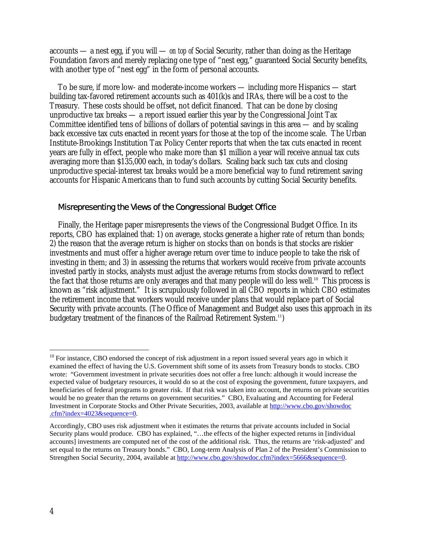accounts — a nest egg, if you will — *on top of* Social Security, rather than doing as the Heritage Foundation favors and merely replacing one type of "nest egg," guaranteed Social Security benefits, with another type of "nest egg" in the form of personal accounts.

To be sure, if more low- and moderate-income workers — including more Hispanics — start building tax-favored retirement accounts such as 401(k)s and IRAs, there will be a cost to the Treasury. These costs should be offset, not deficit financed. That can be done by closing unproductive tax breaks — a report issued earlier this year by the Congressional Joint Tax Committee identified tens of billions of dollars of potential savings in this area — and by scaling back excessive tax cuts enacted in recent years for those at the top of the income scale. The Urban Institute-Brookings Institution Tax Policy Center reports that when the tax cuts enacted in recent years are fully in effect, people who make more than \$1 million a year will receive annual tax cuts averaging more than \$135,000 each, in today's dollars. Scaling back such tax cuts and closing unproductive special-interest tax breaks would be a more beneficial way to fund retirement saving accounts for Hispanic Americans than to fund such accounts by cutting Social Security benefits.

## Misrepresenting the Views of the Congressional Budget Office

Finally, the Heritage paper misrepresents the views of the Congressional Budget Office. In its reports, CBO has explained that: 1) on average, stocks generate a higher rate of return than bonds; 2) the reason that the average return is higher on stocks than on bonds is that stocks are riskier investments and must offer a higher average return over time to induce people to take the risk of investing in them; and 3) in assessing the returns that workers would receive from private accounts invested partly in stocks, analysts must adjust the average returns from stocks downward to reflect the fact that those returns are only averages and that many people will do less well.<sup>10</sup> This process is known as "risk adjustment." It is scrupulously followed in all CBO reports in which CBO estimates the retirement income that workers would receive under plans that would replace part of Social Security with private accounts. (The Office of Management and Budget also uses this approach in its budgetary treatment of the finances of the Railroad Retirement System.<sup>11</sup>)

 $\overline{a}$ 

 $10$  For instance, CBO endorsed the concept of risk adjustment in a report issued several years ago in which it examined the effect of having the U.S. Government shift some of its assets from Treasury bonds to stocks. CBO wrote: "Government investment in private securities does not offer a free lunch: although it would increase the expected value of budgetary resources, it would do so at the cost of exposing the government, future taxpayers, and beneficiaries of federal programs to greater risk. If that risk was taken into account, the returns on private securities would be no greater than the returns on government securities." CBO, Evaluating and Accounting for Federal Investment in Corporate Stocks and Other Private Securities, 2003, available at <http://www.cbo.gov/showdoc> .cfm?index=4023&sequence=0.

Accordingly, CBO uses risk adjustment when it estimates the returns that private accounts included in Social Security plans would produce. CBO has explained, "…the effects of the higher expected returns in [individual accounts] investments are computed net of the cost of the additional risk. Thus, the returns are 'risk-adjusted' and set equal to the returns on Treasury bonds." CBO, Long-term Analysis of Plan 2 of the President's Commission to Strengthen Social Security, 2004, available at [http://www.cbo.gov/showdoc.cfm?index=5666&sequence=0.](http://www.cbo.gov/showdoc.cfm?index=5666&sequence=0)